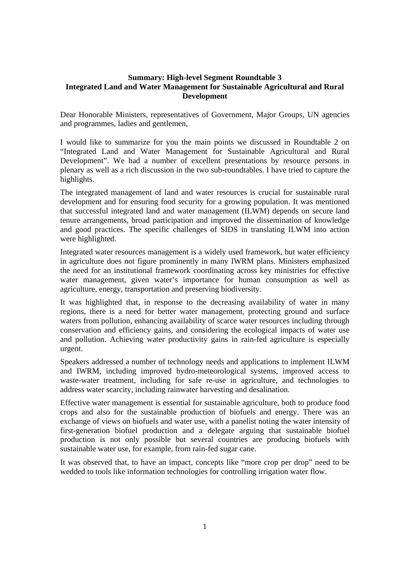## **Summary: High-level Segment Roundtable 3 Integrated Land and Water Management for Sustainable Agricultural and Rural Development**

Dear Honorable Ministers, representatives of Government, Major Groups, UN agencies and programmes, ladies and gentlemen,

I would like to summarize for you the main points we discussed in Roundtable 2 on "Integrated Land and Water Management for Sustainable Agricultural and Rural Development". We had a number of excellent presentations by resource persons in plenary as well as a rich discussion in the two sub-roundtables. I have tried to capture the highlights.

The integrated management of land and water resources is crucial for sustainable rural development and for ensuring food security for a growing population. It was mentioned that successful integrated land and water management (ILWM) depends on secure land tenure arrangements, broad participation and improved the dissemination of knowledge and good practices. The specific challenges of SIDS in translating ILWM into action were highlighted.

Integrated water resources management is a widely used framework, but water efficiency in agriculture does not figure prominently in many IWRM plans. Ministers emphasized the need for an institutional framework coordinating across key ministries for effective water management, given water's importance for human consumption as well as agriculture, energy, transportation and preserving biodiversity.

It was highlighted that, in response to the decreasing availability of water in many regions, there is a need for better water management, protecting ground and surface waters from pollution, enhancing availability of scarce water resources including through conservation and efficiency gains, and considering the ecological impacts of water use and pollution. Achieving water productivity gains in rain-fed agriculture is especially urgent.

Speakers addressed a number of technology needs and applications to implement ILWM and IWRM, including improved hydro-meteorological systems, improved access to waste-water treatment, including for safe re-use in agriculture, and technologies to address water scarcity, including rainwater harvesting and desalination.

Effective water management is essential for sustainable agriculture, both to produce food crops and also for the sustainable production of biofuels and energy. There was an exchange of views on biofuels and water use, with a panelist noting the water intensity of first-generation biofuel production and a delegate arguing that sustainable biofuel production is not only possible but several countries are producing biofuels with sustainable water use, for example, from rain-fed sugar cane.

It was observed that, to have an impact, concepts like "more crop per drop" need to be wedded to tools like information technologies for controlling irrigation water flow.